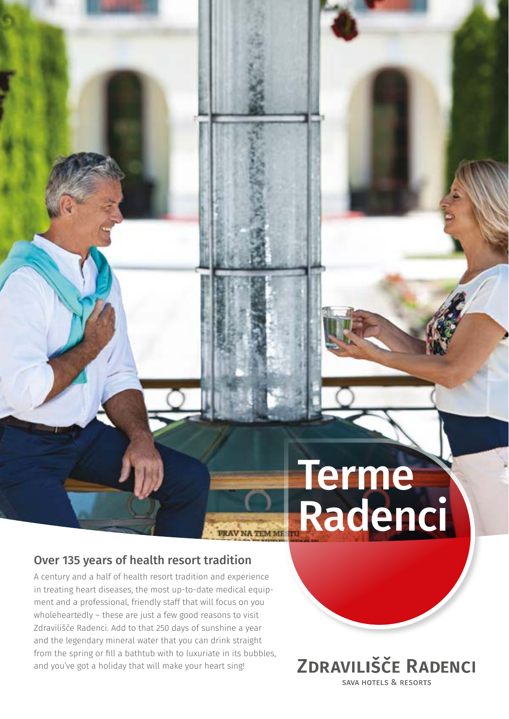# **Terme Radenci**

### Over 135 years of health resort tradition

A century and a half of health resort tradition and experience in treating heart diseases, the most up-to-date medical equipment and a professional, friendly staff that will focus on you wholeheartedly – these are just a few good reasons to visit Zdravilišče Radenci. Add to that 250 days of sunshine a year and the legendary mineral water that you can drink straight from the spring or fill a bathtub with to luxuriate in its bubbles, and you've got a holiday that will make your heart sing!

PRAV NA TEM ME

**ZDRAVILIŠČE RADENCI** SAVA HOTELS & RESORTS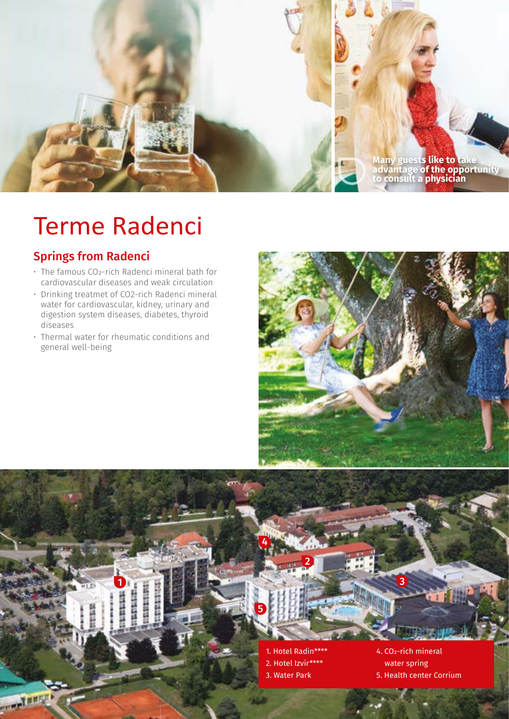

# Terme Radenci

### Springs from Radenci

- The famous CO2-rich Radenci mineral bath for cardiovascular diseases and weak circulation
- Drinking treatmet of CO2-rich Radenci mineral water for cardiovascular, kidney, urinary and digestion system diseases, diabetes, thyroid diseases
- Thermal water for rheumatic conditions and general well-being

1

**Start** 

EHR





5

4

<u>2</u>

4. CO2-rich mineral water spring 5. Health center Corrium

3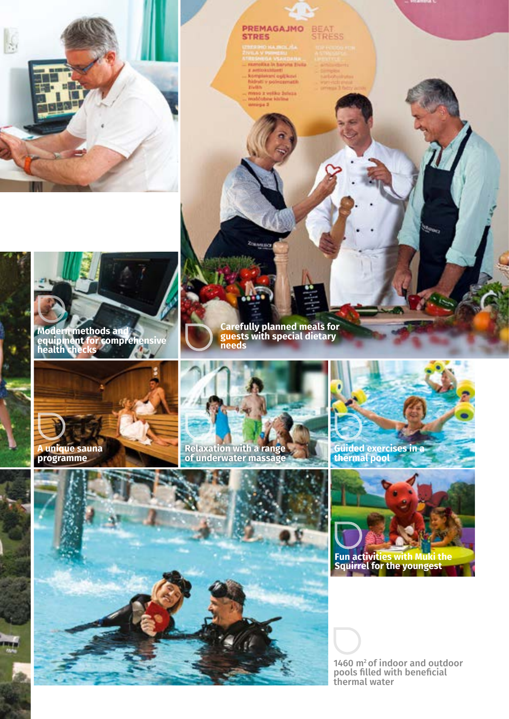

**Modern methods and equipment for comprehensive health checks**

## PREMAGAJMO BEAT

YR.

angsa Visaatsatan.<br>mika in baryaa Eivila mokstanti<br>mplekani ogljikovi<br>kati v polnozmatik

> o a velko žuleza ddobra klubu

**Carefully planned meals for** 

Zonama

**guests with special dietary** 





**Relaxation with a range of underwater massage**

**needs**



**Guided exercises in a thermal pool**





**Squirrel for the youngest** 

1460 m<sup>2</sup> of indoor and outdoor pools filled with beneficial thermal water